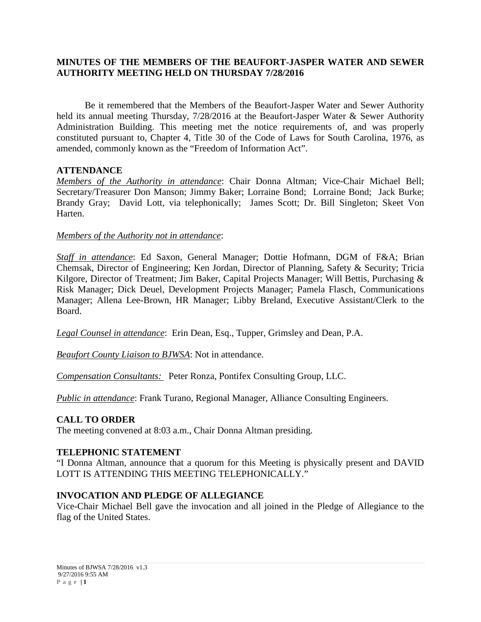# **MINUTES OF THE MEMBERS OF THE BEAUFORT-JASPER WATER AND SEWER AUTHORITY MEETING HELD ON THURSDAY 7/28/2016**

Be it remembered that the Members of the Beaufort-Jasper Water and Sewer Authority held its annual meeting Thursday, 7/28/2016 at the Beaufort-Jasper Water & Sewer Authority Administration Building. This meeting met the notice requirements of, and was properly constituted pursuant to, Chapter 4, Title 30 of the Code of Laws for South Carolina, 1976, as amended, commonly known as the "Freedom of Information Act".

### **ATTENDANCE**

*Members of the Authority in attendance*: Chair Donna Altman; Vice-Chair Michael Bell; Secretary/Treasurer Don Manson; Jimmy Baker; Lorraine Bond; Lorraine Bond; Jack Burke; Brandy Gray; David Lott, via telephonically; James Scott; Dr. Bill Singleton; Skeet Von Harten.

### *Members of the Authority not in attendance*:

*Staff in attendance*: Ed Saxon, General Manager; Dottie Hofmann, DGM of F&A; Brian Chemsak, Director of Engineering; Ken Jordan, Director of Planning, Safety & Security; Tricia Kilgore, Director of Treatment; Jim Baker, Capital Projects Manager; Will Bettis, Purchasing & Risk Manager; Dick Deuel, Development Projects Manager; Pamela Flasch, Communications Manager; Allena Lee-Brown, HR Manager; Libby Breland, Executive Assistant/Clerk to the Board.

*Legal Counsel in attendance*: Erin Dean, Esq., Tupper, Grimsley and Dean, P.A.

*Beaufort County Liaison to BJWSA*: Not in attendance.

*Compensation Consultants:* Peter Ronza, Pontifex Consulting Group, LLC.

*Public in attendance*: Frank Turano, Regional Manager, Alliance Consulting Engineers.

# **CALL TO ORDER**

The meeting convened at 8:03 a.m., Chair Donna Altman presiding.

### **TELEPHONIC STATEMENT**

"I Donna Altman, announce that a quorum for this Meeting is physically present and DAVID LOTT IS ATTENDING THIS MEETING TELEPHONICALLY."

### **INVOCATION AND PLEDGE OF ALLEGIANCE**

Vice-Chair Michael Bell gave the invocation and all joined in the Pledge of Allegiance to the flag of the United States.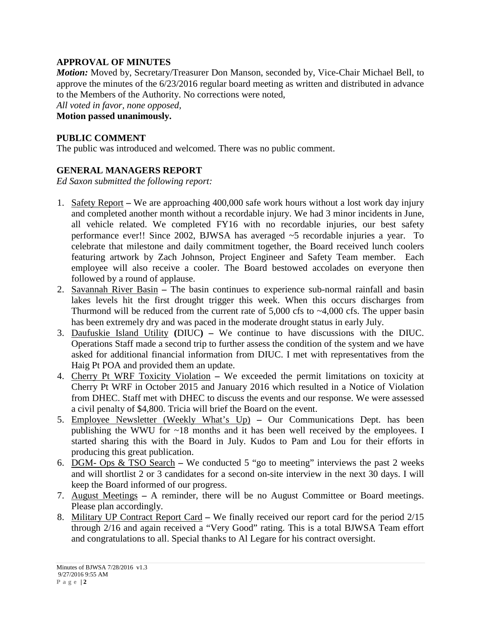# **APPROVAL OF MINUTES**

*Motion:* Moved by, Secretary/Treasurer Don Manson, seconded by, Vice-Chair Michael Bell, to approve the minutes of the 6/23/2016 regular board meeting as written and distributed in advance to the Members of the Authority. No corrections were noted, *All voted in favor, none opposed,* 

**Motion passed unanimously.**

# **PUBLIC COMMENT**

The public was introduced and welcomed. There was no public comment.

# **GENERAL MANAGERS REPORT**

*Ed Saxon submitted the following report:*

- 1. Safety Report **–** We are approaching 400,000 safe work hours without a lost work day injury and completed another month without a recordable injury. We had 3 minor incidents in June, all vehicle related. We completed FY16 with no recordable injuries, our best safety performance ever!! Since 2002, BJWSA has averaged ~5 recordable injuries a year. To celebrate that milestone and daily commitment together, the Board received lunch coolers featuring artwork by Zach Johnson, Project Engineer and Safety Team member. Each employee will also receive a cooler. The Board bestowed accolades on everyone then followed by a round of applause.
- 2. Savannah River Basin **–** The basin continues to experience sub-normal rainfall and basin lakes levels hit the first drought trigger this week. When this occurs discharges from Thurmond will be reduced from the current rate of  $5,000$  cfs to  $\sim$ 4,000 cfs. The upper basin has been extremely dry and was paced in the moderate drought status in early July.
- 3. Daufuskie Island Utility **(**DIUC**) –** We continue to have discussions with the DIUC. Operations Staff made a second trip to further assess the condition of the system and we have asked for additional financial information from DIUC. I met with representatives from the Haig Pt POA and provided them an update.
- 4. Cherry Pt WRF Toxicity Violation **–** We exceeded the permit limitations on toxicity at Cherry Pt WRF in October 2015 and January 2016 which resulted in a Notice of Violation from DHEC. Staff met with DHEC to discuss the events and our response. We were assessed a civil penalty of \$4,800. Tricia will brief the Board on the event.
- 5. Employee Newsletter (Weekly What's Up) **–** Our Communications Dept. has been publishing the WWU for ~18 months and it has been well received by the employees. I started sharing this with the Board in July. Kudos to Pam and Lou for their efforts in producing this great publication.
- 6. DGM- Ops & TSO Search **–** We conducted 5 "go to meeting" interviews the past 2 weeks and will shortlist 2 or 3 candidates for a second on-site interview in the next 30 days. I will keep the Board informed of our progress.
- 7. August Meetings **–** A reminder, there will be no August Committee or Board meetings. Please plan accordingly.
- 8. Military UP Contract Report Card **–** We finally received our report card for the period 2/15 through 2/16 and again received a "Very Good" rating. This is a total BJWSA Team effort and congratulations to all. Special thanks to Al Legare for his contract oversight.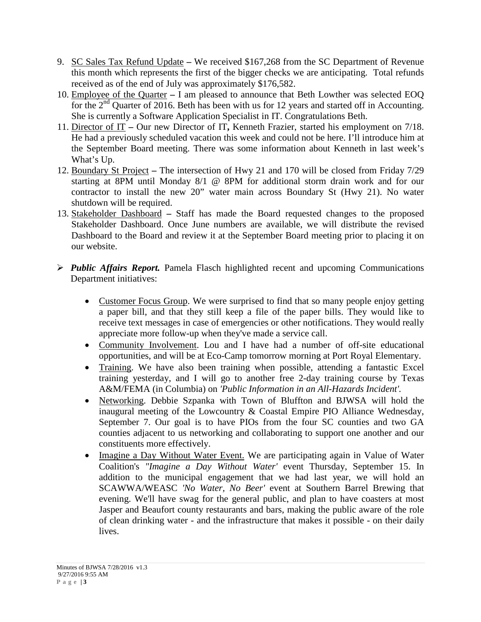- 9. SC Sales Tax Refund Update **–** We received \$167,268 from the SC Department of Revenue this month which represents the first of the bigger checks we are anticipating. Total refunds received as of the end of July was approximately \$176,582.
- 10. Employee of the Quarter **–** I am pleased to announce that Beth Lowther was selected EOQ for the  $2<sup>nd</sup>$  Quarter of 2016. Beth has been with us for 12 years and started off in Accounting. She is currently a Software Application Specialist in IT. Congratulations Beth.
- 11. Director of IT **–** Our new Director of IT**,** Kenneth Frazier, started his employment on 7/18. He had a previously scheduled vacation this week and could not be here. I'll introduce him at the September Board meeting. There was some information about Kenneth in last week's What's Up.
- 12. Boundary St Project **–** The intersection of Hwy 21 and 170 will be closed from Friday 7/29 starting at 8PM until Monday 8/1 @ 8PM for additional storm drain work and for our contractor to install the new 20" water main across Boundary St (Hwy 21). No water shutdown will be required.
- 13. Stakeholder Dashboard **–** Staff has made the Board requested changes to the proposed Stakeholder Dashboard. Once June numbers are available, we will distribute the revised Dashboard to the Board and review it at the September Board meeting prior to placing it on our website.
- *Public Affairs Report.* Pamela Flasch highlighted recent and upcoming Communications Department initiatives:
	- Customer Focus Group. We were surprised to find that so many people enjoy getting a paper bill, and that they still keep a file of the paper bills. They would like to receive text messages in case of emergencies or other notifications. They would really appreciate more follow-up when they've made a service call.
	- Community Involvement. Lou and I have had a number of off-site educational opportunities, and will be at Eco-Camp tomorrow morning at Port Royal Elementary.
	- Training. We have also been training when possible, attending a fantastic Excel training yesterday, and I will go to another free 2-day training course by Texas A&M/FEMA (in Columbia) on *'Public Information in an All-Hazards Incident'.*
	- Networking. Debbie Szpanka with Town of Bluffton and BJWSA will hold the inaugural meeting of the Lowcountry & Coastal Empire PIO Alliance Wednesday, September 7. Our goal is to have PIOs from the four SC counties and two GA counties adjacent to us networking and collaborating to support one another and our constituents more effectively.
	- Imagine a Day Without Water Event. We are participating again in Value of Water Coalition's *"Imagine a Day Without Water'* event Thursday, September 15. In addition to the municipal engagement that we had last year, we will hold an SCAWWA/WEASC *'No Water, No Beer'* event at Southern Barrel Brewing that evening. We'll have swag for the general public, and plan to have coasters at most Jasper and Beaufort county restaurants and bars, making the public aware of the role of clean drinking water - and the infrastructure that makes it possible - on their daily lives.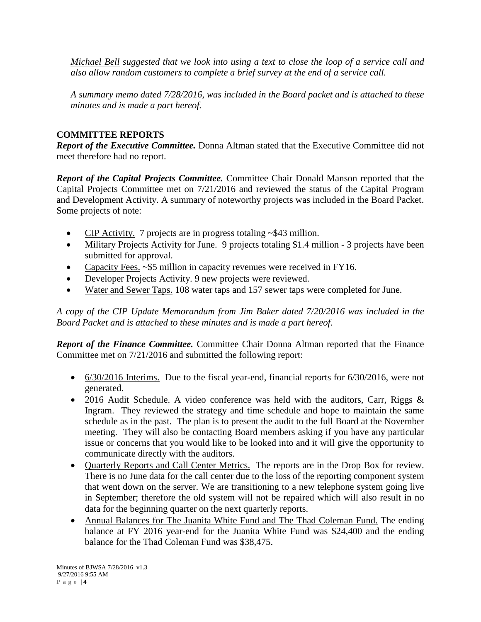*Michael Bell suggested that we look into using a text to close the loop of a service call and also allow random customers to complete a brief survey at the end of a service call.*

*A summary memo dated 7/28/2016, was included in the Board packet and is attached to these minutes and is made a part hereof.*

# **COMMITTEE REPORTS**

*Report of the Executive Committee.* Donna Altman stated that the Executive Committee did not meet therefore had no report.

*Report of the Capital Projects Committee.* Committee Chair Donald Manson reported that the Capital Projects Committee met on 7/21/2016 and reviewed the status of the Capital Program and Development Activity. A summary of noteworthy projects was included in the Board Packet. Some projects of note:

- CIP Activity. 7 projects are in progress totaling ~\$43 million.
- Military Projects Activity for June. 9 projects totaling \$1.4 million 3 projects have been submitted for approval.
- Capacity Fees. ~\$5 million in capacity revenues were received in FY16.
- Developer Projects Activity. 9 new projects were reviewed.
- Water and Sewer Taps. 108 water taps and 157 sewer taps were completed for June.

*A copy of the CIP Update Memorandum from Jim Baker dated 7/20/2016 was included in the Board Packet and is attached to these minutes and is made a part hereof.*

*Report of the Finance Committee.* Committee Chair Donna Altman reported that the Finance Committee met on 7/21/2016 and submitted the following report:

- $\bullet$  6/30/2016 Interims. Due to the fiscal year-end, financial reports for 6/30/2016, were not generated.
- 2016 Audit Schedule. A video conference was held with the auditors, Carr, Riggs  $\&$ Ingram. They reviewed the strategy and time schedule and hope to maintain the same schedule as in the past. The plan is to present the audit to the full Board at the November meeting. They will also be contacting Board members asking if you have any particular issue or concerns that you would like to be looked into and it will give the opportunity to communicate directly with the auditors.
- Quarterly Reports and Call Center Metrics. The reports are in the Drop Box for review. There is no June data for the call center due to the loss of the reporting component system that went down on the server. We are transitioning to a new telephone system going live in September; therefore the old system will not be repaired which will also result in no data for the beginning quarter on the next quarterly reports.
- Annual Balances for The Juanita White Fund and The Thad Coleman Fund. The ending balance at FY 2016 year-end for the Juanita White Fund was \$24,400 and the ending balance for the Thad Coleman Fund was \$38,475.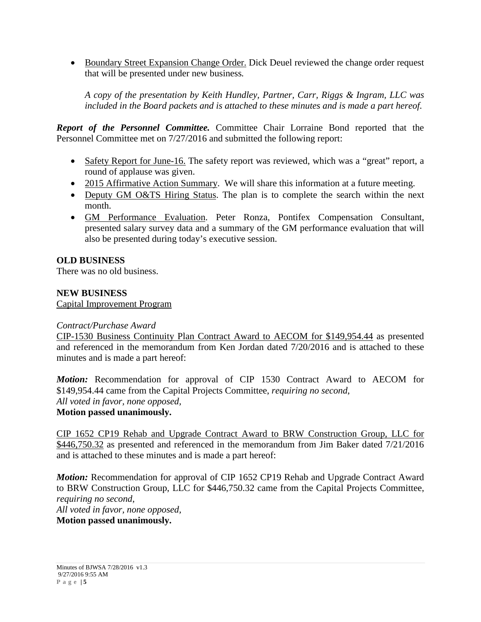• Boundary Street Expansion Change Order. Dick Deuel reviewed the change order request that will be presented under new business*.*

*A copy of the presentation by Keith Hundley, Partner, Carr, Riggs & Ingram, LLC was included in the Board packets and is attached to these minutes and is made a part hereof.*

*Report of the Personnel Committee.* Committee Chair Lorraine Bond reported that the Personnel Committee met on 7/27/2016 and submitted the following report:

- Safety Report for June-16. The safety report was reviewed, which was a "great" report, a round of applause was given.
- 2015 Affirmative Action Summary. We will share this information at a future meeting.
- Deputy GM O&TS Hiring Status. The plan is to complete the search within the next month.
- GM Performance Evaluation. Peter Ronza, Pontifex Compensation Consultant, presented salary survey data and a summary of the GM performance evaluation that will also be presented during today's executive session.

# **OLD BUSINESS**

There was no old business.

### **NEW BUSINESS**

Capital Improvement Program

### *Contract/Purchase Award*

CIP-1530 Business Continuity Plan Contract Award to AECOM for \$149,954.44 as presented and referenced in the memorandum from Ken Jordan dated 7/20/2016 and is attached to these minutes and is made a part hereof:

*Motion:* Recommendation for approval of CIP 1530 Contract Award to AECOM for \$149,954.44 came from the Capital Projects Committee, *requiring no second*, *All voted in favor, none opposed,*

# **Motion passed unanimously.**

CIP 1652 CP19 Rehab and Upgrade Contract Award to BRW Construction Group, LLC for \$446,750.32 as presented and referenced in the memorandum from Jim Baker dated 7/21/2016 and is attached to these minutes and is made a part hereof:

*Motion:* Recommendation for approval of CIP 1652 CP19 Rehab and Upgrade Contract Award to BRW Construction Group, LLC for \$446,750.32 came from the Capital Projects Committee, *requiring no second*, *All voted in favor, none opposed,*

**Motion passed unanimously.**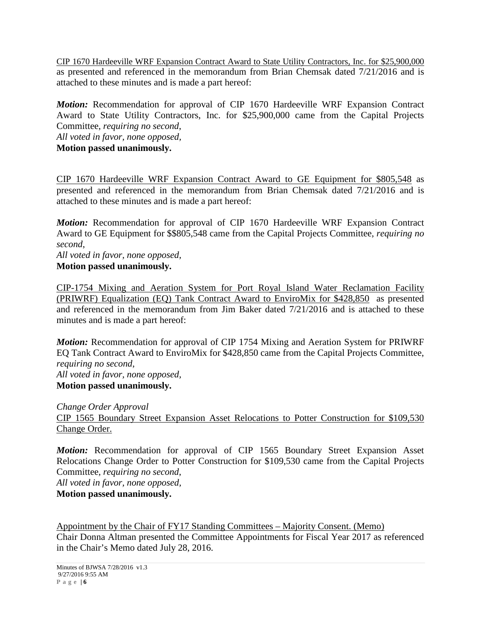CIP 1670 Hardeeville WRF Expansion Contract Award to State Utility Contractors, Inc. for \$25,900,000 as presented and referenced in the memorandum from Brian Chemsak dated 7/21/2016 and is attached to these minutes and is made a part hereof:

*Motion:* Recommendation for approval of CIP 1670 Hardeeville WRF Expansion Contract Award to State Utility Contractors, Inc. for \$25,900,000 came from the Capital Projects Committee, *requiring no second*,

*All voted in favor, none opposed,*

**Motion passed unanimously.**

CIP 1670 Hardeeville WRF Expansion Contract Award to GE Equipment for \$805,548 as presented and referenced in the memorandum from Brian Chemsak dated 7/21/2016 and is attached to these minutes and is made a part hereof:

*Motion:* Recommendation for approval of CIP 1670 Hardeeville WRF Expansion Contract Award to GE Equipment for \$\$805,548 came from the Capital Projects Committee, *requiring no second*,

*All voted in favor, none opposed,* **Motion passed unanimously.**

CIP-1754 Mixing and Aeration System for Port Royal Island Water Reclamation Facility (PRIWRF) Equalization (EQ) Tank Contract Award to EnviroMix for \$428,850 as presented and referenced in the memorandum from Jim Baker dated 7/21/2016 and is attached to these minutes and is made a part hereof:

*Motion:* Recommendation for approval of CIP 1754 Mixing and Aeration System for PRIWRF EQ Tank Contract Award to EnviroMix for \$428,850 came from the Capital Projects Committee, *requiring no second*, *All voted in favor, none opposed,* **Motion passed unanimously.**

*Change Order Approval* CIP 1565 Boundary Street Expansion Asset Relocations to Potter Construction for \$109,530 Change Order.

*Motion:* Recommendation for approval of CIP 1565 Boundary Street Expansion Asset Relocations Change Order to Potter Construction for \$109,530 came from the Capital Projects Committee, *requiring no second*,

*All voted in favor, none opposed,* **Motion passed unanimously.**

Appointment by the Chair of FY17 Standing Committees – Majority Consent. (Memo) Chair Donna Altman presented the Committee Appointments for Fiscal Year 2017 as referenced in the Chair's Memo dated July 28, 2016.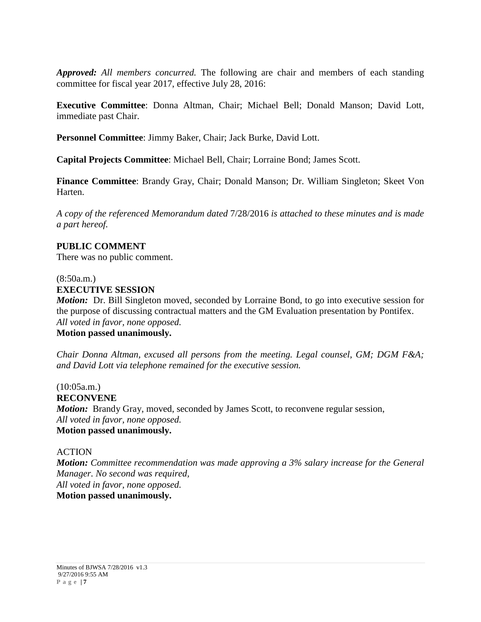*Approved: All members concurred.* The following are chair and members of each standing committee for fiscal year 2017, effective July 28, 2016:

**Executive Committee**: Donna Altman, Chair; Michael Bell; Donald Manson; David Lott, immediate past Chair.

**Personnel Committee**: Jimmy Baker, Chair; Jack Burke, David Lott.

**Capital Projects Committee**: Michael Bell, Chair; Lorraine Bond; James Scott.

**Finance Committee**: Brandy Gray, Chair; Donald Manson; Dr. William Singleton; Skeet Von Harten.

*A copy of the referenced Memorandum dated* 7/28/2016 *is attached to these minutes and is made a part hereof.*

### **PUBLIC COMMENT**

There was no public comment.

### (8:50a.m.) **EXECUTIVE SESSION**

*Motion:* Dr. Bill Singleton moved, seconded by Lorraine Bond, to go into executive session for the purpose of discussing contractual matters and the GM Evaluation presentation by Pontifex. *All voted in favor, none opposed.*

# **Motion passed unanimously.**

*Chair Donna Altman, excused all persons from the meeting. Legal counsel, GM; DGM F&A; and David Lott via telephone remained for the executive session.*

(10:05a.m.) **RECONVENE** *Motion:* Brandy Gray, moved, seconded by James Scott, to reconvene regular session, *All voted in favor, none opposed.* **Motion passed unanimously.**

### ACTION

*Motion: Committee recommendation was made approving a 3% salary increase for the General Manager. No second was required, All voted in favor, none opposed.* **Motion passed unanimously.**